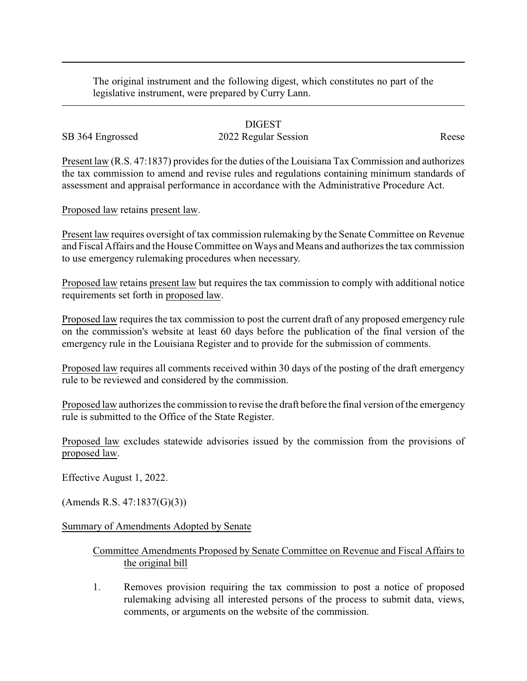The original instrument and the following digest, which constitutes no part of the legislative instrument, were prepared by Curry Lann.

## DIGEST SB 364 Engrossed 2022 Regular Session Reese

Present law (R.S. 47:1837) provides for the duties of the Louisiana Tax Commission and authorizes the tax commission to amend and revise rules and regulations containing minimum standards of assessment and appraisal performance in accordance with the Administrative Procedure Act.

Proposed law retains present law.

Present law requires oversight of tax commission rulemaking by the Senate Committee on Revenue and Fiscal Affairs and the House Committee on Ways and Means and authorizes the tax commission to use emergency rulemaking procedures when necessary.

Proposed law retains present law but requires the tax commission to comply with additional notice requirements set forth in proposed law.

Proposed law requires the tax commission to post the current draft of any proposed emergency rule on the commission's website at least 60 days before the publication of the final version of the emergency rule in the Louisiana Register and to provide for the submission of comments.

Proposed law requires all comments received within 30 days of the posting of the draft emergency rule to be reviewed and considered by the commission.

Proposed law authorizes the commission to revise the draft before the final version of the emergency rule is submitted to the Office of the State Register.

Proposed law excludes statewide advisories issued by the commission from the provisions of proposed law.

Effective August 1, 2022.

(Amends R.S. 47:1837(G)(3))

## Summary of Amendments Adopted by Senate

## Committee Amendments Proposed by Senate Committee on Revenue and Fiscal Affairs to the original bill

1. Removes provision requiring the tax commission to post a notice of proposed rulemaking advising all interested persons of the process to submit data, views, comments, or arguments on the website of the commission.